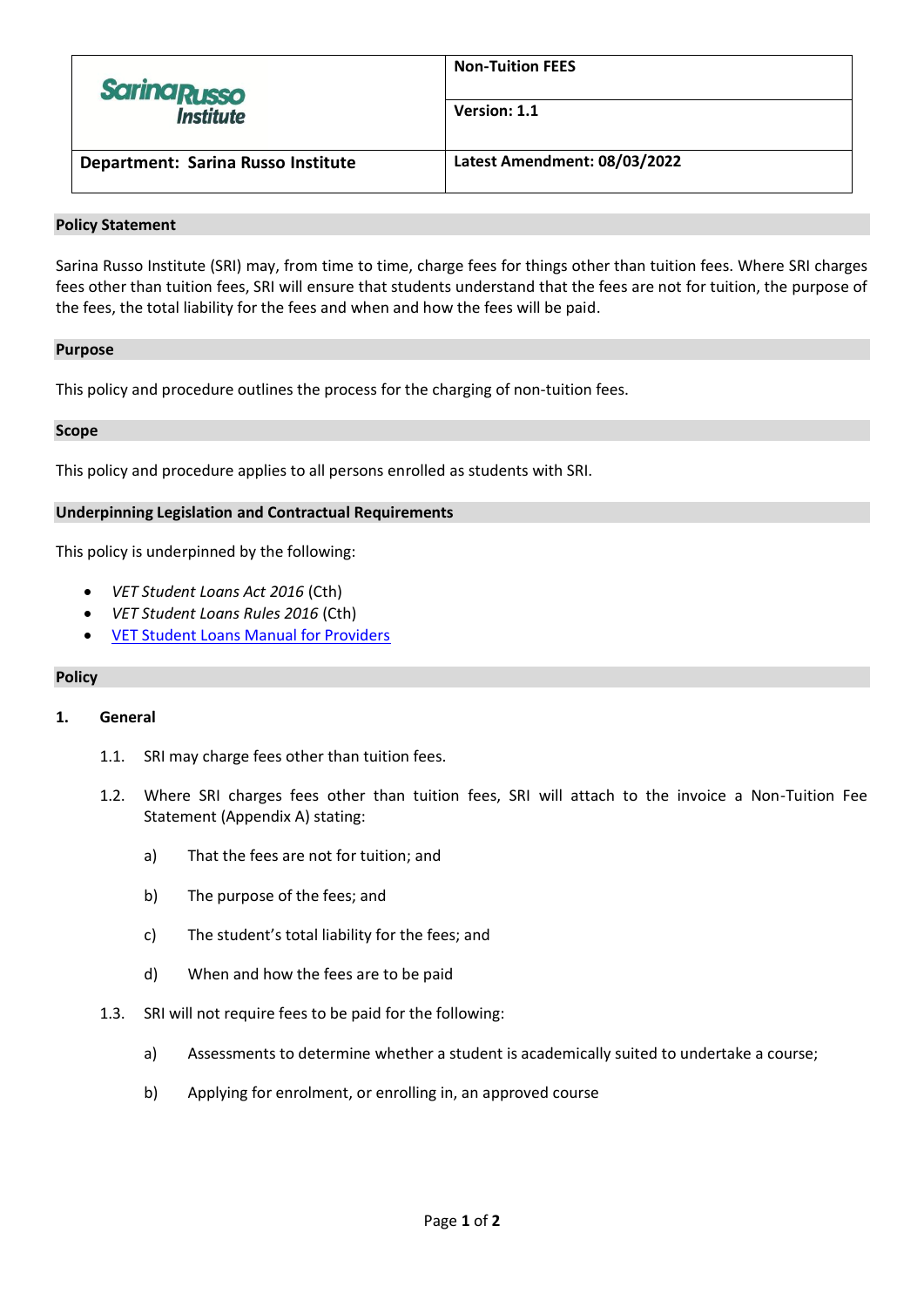| <b>Sarina Russo</b>                | <b>Non-Tuition FEES</b>      |
|------------------------------------|------------------------------|
| <b>Institute</b>                   | Version: 1.1                 |
| Department: Sarina Russo Institute | Latest Amendment: 08/03/2022 |

#### **Policy Statement**

Sarina Russo Institute (SRI) may, from time to time, charge fees for things other than tuition fees. Where SRI charges fees other than tuition fees, SRI will ensure that students understand that the fees are not for tuition, the purpose of the fees, the total liability for the fees and when and how the fees will be paid.

#### **Purpose**

This policy and procedure outlines the process for the charging of non-tuition fees.

#### **Scope**

This policy and procedure applies to all persons enrolled as students with SRI.

## **Underpinning Legislation and Contractual Requirements**

This policy is underpinned by the following:

- *VET Student Loans Act 2016* (Cth)
- *VET Student Loans Rules 2016* (Cth)
- **[VET Student Loans Manual for Providers](https://docs.education.gov.au/system/files/doc/other/provider_manual_-_3.0.pdf)**

## **Policy**

## **1. General**

- 1.1. SRI may charge fees other than tuition fees.
- 1.2. Where SRI charges fees other than tuition fees, SRI will attach to the invoice a Non-Tuition Fee Statement (Appendix A) stating:
	- a) That the fees are not for tuition; and
	- b) The purpose of the fees; and
	- c) The student's total liability for the fees; and
	- d) When and how the fees are to be paid
- 1.3. SRI will not require fees to be paid for the following:
	- a) Assessments to determine whether a student is academically suited to undertake a course;
	- b) Applying for enrolment, or enrolling in, an approved course